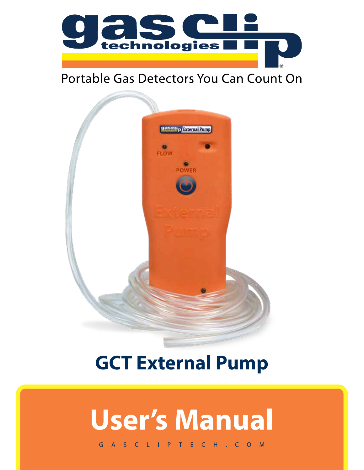

# Portable Gas Detectors You Can Count On



# **GCT External Pump**

# **User's Manual**

GASCLIPTECH.COM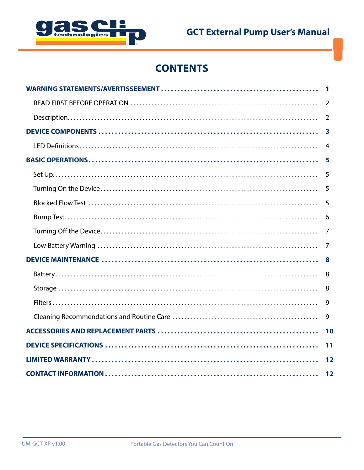

# **CONTENTS**

| 2                       |
|-------------------------|
| 2                       |
| $\overline{\mathbf{3}}$ |
| 4                       |
| 5                       |
| 5                       |
| 5                       |
| 5                       |
| 6                       |
| 7                       |
| 7                       |
| -8                      |
| 8                       |
| 8                       |
| 9                       |
| 9                       |
|                         |
| 11                      |
|                         |
| 12                      |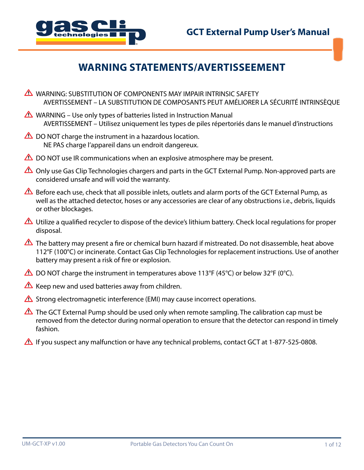

# **WARNING STATEMENTS/AVERTISSEEMENT**

- **A** WARNING: SUBSTITUTION OF COMPONENTS MAY IMPAIR INTRINSIC SAFETY AVERTISSEMENT – LA SUBSTITUTION DE COMPOSANTS PEUT AMÉLIORER LA SÉCURITÉ INTRINSÈQUE
- WARNING Use only types of batteries listed in Instruction Manual AVERTISSEMENT – Utilisez uniquement les types de piles répertoriés dans le manuel d'instructions
- $\triangle$  DO NOT charge the instrument in a hazardous location. NE PAS charge l'appareil dans un endroit dangereux.
- $\triangle$  DO NOT use IR communications when an explosive atmosphere may be present.
- △ Only use Gas Clip Technologies chargers and parts in the GCT External Pump. Non-approved parts are considered unsafe and will void the warranty.
- $\triangle$  Before each use, check that all possible inlets, outlets and alarm ports of the GCT External Pump, as well as the attached detector, hoses or any accessories are clear of any obstructions i.e., debris, liquids or other blockages.
- $\triangle$  Utilize a qualified recycler to dispose of the device's lithium battery. Check local regulations for proper disposal.
- The battery may present a fire or chemical burn hazard if mistreated. Do not disassemble, heat above 112°F (100°C) or incinerate. Contact Gas Clip Technologies for replacement instructions. Use of another battery may present a risk of fire or explosion.
- $\triangle$  DO NOT charge the instrument in temperatures above 113°F (45°C) or below 32°F (0°C).
- $\triangle$  Keep new and used batteries away from children.
- $\triangle$  Strong electromagnetic interference (EMI) may cause incorrect operations.
- The GCT External Pump should be used only when remote sampling. The calibration cap must be removed from the detector during normal operation to ensure that the detector can respond in timely fashion.
- If you suspect any malfunction or have any technical problems, contact GCT at 1-877-525-0808.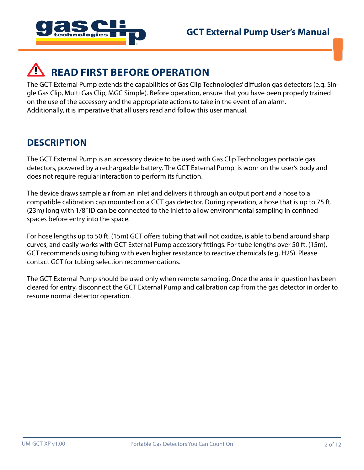

# **READ FIRST BEFORE OPERATION**

The GCT External Pump extends the capabilities of Gas Clip Technologies' diffusion gas detectors (e.g. Single Gas Clip, Multi Gas Clip, MGC Simple). Before operation, ensure that you have been properly trained on the use of the accessory and the appropriate actions to take in the event of an alarm. Additionally, it is imperative that all users read and follow this user manual.

#### **DESCRIPTION**

The GCT External Pump is an accessory device to be used with Gas Clip Technologies portable gas detectors, powered by a rechargeable battery. The GCT External Pump is worn on the user's body and does not require regular interaction to perform its function.

The device draws sample air from an inlet and delivers it through an output port and a hose to a compatible calibration cap mounted on a GCT gas detector. During operation, a hose that is up to 75 ft. (23m) long with 1/8" ID can be connected to the inlet to allow environmental sampling in confined spaces before entry into the space.

For hose lengths up to 50 ft. (15m) GCT offers tubing that will not oxidize, is able to bend around sharp curves, and easily works with GCT External Pump accessory fittings. For tube lengths over 50 ft. (15m), GCT recommends using tubing with even higher resistance to reactive chemicals (e.g. H2S). Please contact GCT for tubing selection recommendations.

The GCT External Pump should be used only when remote sampling. Once the area in question has been cleared for entry, disconnect the GCT External Pump and calibration cap from the gas detector in order to resume normal detector operation.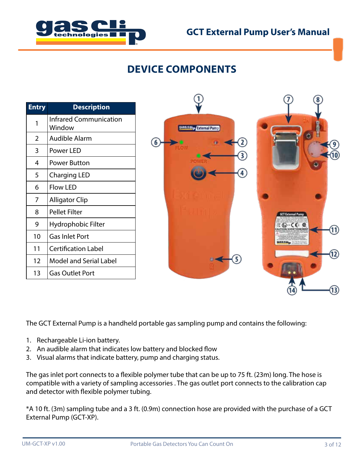

# **DEVICE COMPONENTS**

| <b>Entry</b> | <b>Description</b>                      |  |  |
|--------------|-----------------------------------------|--|--|
| 1            | <b>Infrared Communication</b><br>Window |  |  |
| 2            | <b>Audible Alarm</b>                    |  |  |
| 3            | Power LED                               |  |  |
| 4            | Power Button                            |  |  |
| 5            | <b>Charging LED</b>                     |  |  |
| 6            | <b>Flow LED</b>                         |  |  |
| 7            | <b>Alligator Clip</b>                   |  |  |
| 8            | Pellet Filter                           |  |  |
| 9            | Hydrophobic Filter                      |  |  |
| 10           | <b>Gas Inlet Port</b>                   |  |  |
| 11           | <b>Certification Label</b>              |  |  |
| 12           | <b>Model and Serial Label</b>           |  |  |
| 13           | <b>Gas Outlet Port</b>                  |  |  |



The GCT External Pump is a handheld portable gas sampling pump and contains the following:

- 1. Rechargeable Li-ion battery.
- 2. An audible alarm that indicates low battery and blocked flow
- 3. Visual alarms that indicate battery, pump and charging status.

The gas inlet port connects to a flexible polymer tube that can be up to 75 ft. (23m) long. The hose is compatible with a variety of sampling accessories . The gas outlet port connects to the calibration cap and detector with flexible polymer tubing.

\*A 10 ft. (3m) sampling tube and a 3 ft. (0.9m) connection hose are provided with the purchase of a GCT External Pump (GCT-XP).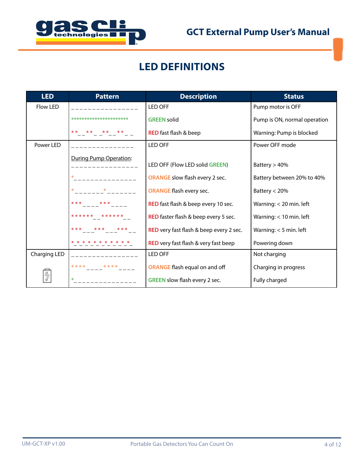

# **LED DEFINITIONS**

| <b>LED</b>                    | <b>Pattern</b>         | <b>Description</b>                      | <b>Status</b>                |
|-------------------------------|------------------------|-----------------------------------------|------------------------------|
| Flow LED                      |                        | <b>LED OFF</b>                          | Pump motor is OFF            |
|                               | ********************** | <b>GREEN solid</b>                      | Pump is ON, normal operation |
|                               | ** ** ** **            | <b>RED</b> fast flash & beep            | Warning: Pump is blocked     |
| Power LED                     |                        | <b>LED OFF</b>                          | Power OFF mode               |
| <b>During Pump Operation:</b> |                        | LED OFF (Flow LED solid GREEN)          | Battery $> 40\%$             |
|                               | ₩                      | <b>ORANGE</b> slow flash every 2 sec.   | Battery between 20% to 40%   |
|                               |                        | <b>ORANGE</b> flash every sec.          | Battery $<$ 20%              |
|                               | * * *<br>* * *         | RED fast flash & beep every 10 sec.     | Warning: < 20 min. left      |
|                               | ****** ******          | RED faster flash & beep every 5 sec.    | Warning: < 10 min. left      |
|                               | * * *<br>*** ***       | RED very fast flash & beep every 2 sec. | Warning: $<$ 5 min. left     |
|                               |                        | RED very fast flash & very fast beep    | Powering down                |
| Charging LED                  |                        | LED OFF                                 | Not charging                 |
|                               | * * * *                | <b>ORANGE</b> flash equal on and off    | Charging in progress         |
|                               |                        | GREEN slow flash every 2 sec.           | Fully charged                |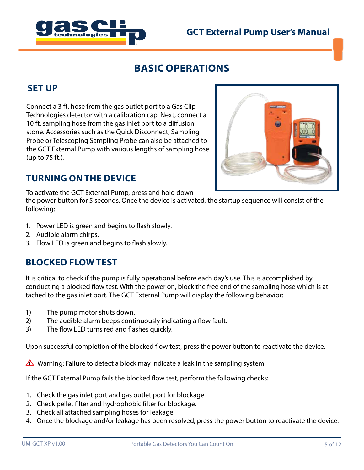



# **BASIC OPERATIONS**

#### **SET UP**

Connect a 3 ft. hose from the gas outlet port to a Gas Clip Technologies detector with a calibration cap. Next, connect a 10 ft. sampling hose from the gas inlet port to a diffusion stone. Accessories such as the Quick Disconnect, Sampling Probe or Telescoping Sampling Probe can also be attached to the GCT External Pump with various lengths of sampling hose (up to 75 ft.).

#### **TURNING ON THE DEVICE**

To activate the GCT External Pump, press and hold down

the power button for 5 seconds. Once the device is activated, the startup sequence will consist of the following:

- 1. Power LED is green and begins to flash slowly.
- 2. Audible alarm chirps.
- 3. Flow LED is green and begins to flash slowly.

#### **BLOCKED FLOW TEST**

It is critical to check if the pump is fully operational before each day's use. This is accomplished by conducting a blocked flow test. With the power on, block the free end of the sampling hose which is attached to the gas inlet port. The GCT External Pump will display the following behavior:

- 1) The pump motor shuts down.
- 2) The audible alarm beeps continuously indicating a flow fault.
- 3) The flow LED turns red and flashes quickly.

Upon successful completion of the blocked flow test, press the power button to reactivate the device.

**A** Warning: Failure to detect a block may indicate a leak in the sampling system.

If the GCT External Pump fails the blocked flow test, perform the following checks:

- 1. Check the gas inlet port and gas outlet port for blockage.
- 2. Check pellet filter and hydrophobic filter for blockage.
- 3. Check all attached sampling hoses for leakage.
- 4. Once the blockage and/or leakage has been resolved, press the power button to reactivate the device.

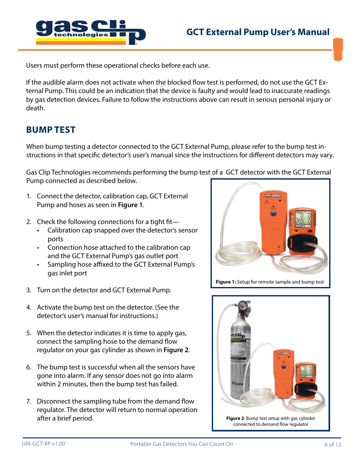

Users must perform these operational checks before each use.

If the audible alarm does not activate when the blocked flow test is performed, do not use the GCT External Pump. This could be an indication that the device is faulty and would lead to inaccurate readings by gas detection devices. Failure to follow the instructions above can result in serious personal injury or death.

#### **BUMP TEST**

When bump testing a detector connected to the GCT External Pump, please refer to the bump test instructions in that specific detector's user's manual since the instructions for different detectors may vary.

Gas Clip Technologies recommends performing the bump test of a GCT detector with the GCT External Pump connected as described below.

- 1. Connect the detector, calibration cap, GCT External Pump and hoses as seen in **Figure 1**.
- 2. Check the following connections for a tight fit—
	- Calibration cap snapped over the detector's sensor ports
	- Connection hose attached to the calibration cap and the GCT External Pump's gas outlet port
	- Sampling hose affixed to the GCT External Pump's gas inlet port
- 3. Turn on the detector and GCT External Pump.
- 4. Activate the bump test on the detector. (See the detector's user's manual for instructions.)
- 5. When the detector indicates it is time to apply gas, connect the sampling hose to the demand flow regulator on your gas cylinder as shown in **Figure 2**.
- 6. The bump test is successful when all the sensors have gone into alarm. If any sensor does not go into alarm within 2 minutes, then the bump test has failed.
- 7. Disconnect the sampling tube from the demand flow regulator. The detector will return to normal operation after a brief period.



**Figure 1:** Setup for remote sample and bump test

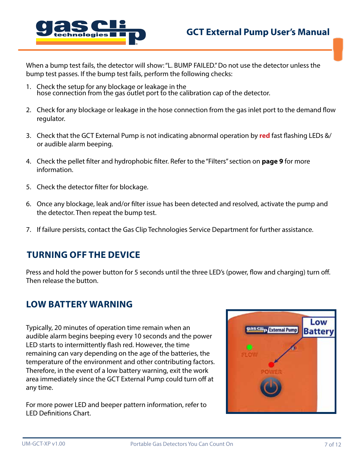

When a bump test fails, the detector will show: "L. BUMP FAILED." Do not use the detector unless the bump test passes. If the bump test fails, perform the following checks:

- 1. Check the setup for any blockage or leakage in the hose connection from the gas outlet port to the calibration cap of the detector.
- 2. Check for any blockage or leakage in the hose connection from the gas inlet port to the demand flow regulator.
- 3. Check that the GCT External Pump is not indicating abnormal operation by **red** fast flashing LEDs &/ or audible alarm beeping.
- 4. Check the pellet filter and hydrophobic filter. Refer to the "Filters" section on **page 9** for more information.
- 5. Check the detector filter for blockage.
- 6. Once any blockage, leak and/or filter issue has been detected and resolved, activate the pump and the detector. Then repeat the bump test.
- 7. If failure persists, contact the Gas Clip Technologies Service Department for further assistance.

#### **TURNING OFF THE DEVICE**

Press and hold the power button for 5 seconds until the three LED's (power, flow and charging) turn off. Then release the button.

#### **LOW BATTERY WARNING**

Typically, 20 minutes of operation time remain when an audible alarm begins beeping every 10 seconds and the power LED starts to intermittently flash red. However, the time remaining can vary depending on the age of the batteries, the temperature of the environment and other contributing factors. Therefore, in the event of a low battery warning, exit the work area immediately since the GCT External Pump could turn off at any time.

For more power LED and beeper pattern information, refer to LED Definitions Chart.

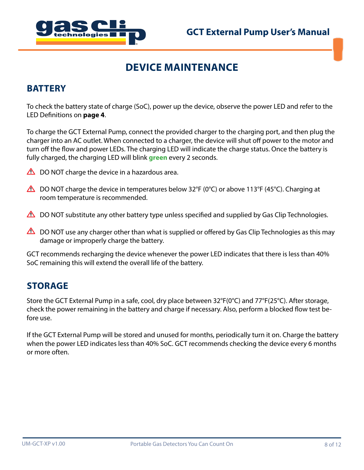

# **DEVICE MAINTENANCE**

#### **BATTERY**

To check the battery state of charge (SoC), power up the device, observe the power LED and refer to the LED Definitions on **page 4**.

To charge the GCT External Pump, connect the provided charger to the charging port, and then plug the charger into an AC outlet. When connected to a charger, the device will shut off power to the motor and turn off the flow and power LEDs. The charging LED will indicate the charge status. Once the battery is fully charged, the charging LED will blink **green** every 2 seconds.

- $\triangle$  DO NOT charge the device in a hazardous area.
- $\triangle$  DO NOT charge the device in temperatures below 32°F (0°C) or above 113°F (45°C). Charging at room temperature is recommended.
- $\triangle$  DO NOT substitute any other battery type unless specified and supplied by Gas Clip Technologies.
- $\triangle$  DO NOT use any charger other than what is supplied or offered by Gas Clip Technologies as this may damage or improperly charge the battery.

GCT recommends recharging the device whenever the power LED indicates that there is less than 40% SoC remaining this will extend the overall life of the battery.

#### **STORAGE**

Store the GCT External Pump in a safe, cool, dry place between 32°F(0°C) and 77°F(25°C). After storage, check the power remaining in the battery and charge if necessary. Also, perform a blocked flow test before use.

If the GCT External Pump will be stored and unused for months, periodically turn it on. Charge the battery when the power LED indicates less than 40% SoC. GCT recommends checking the device every 6 months or more often.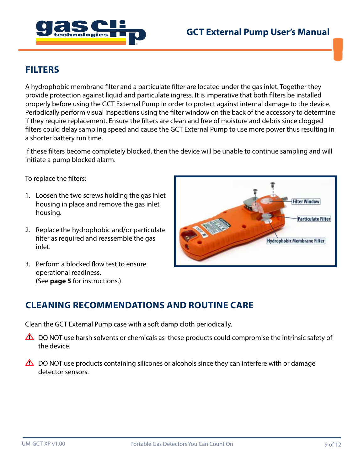

#### **FILTERS**

A hydrophobic membrane filter and a particulate filter are located under the gas inlet. Together they provide protection against liquid and particulate ingress. It is imperative that both filters be installed properly before using the GCT External Pump in order to protect against internal damage to the device. Periodically perform visual inspections using the filter window on the back of the accessory to determine if they require replacement. Ensure the filters are clean and free of moisture and debris since clogged filters could delay sampling speed and cause the GCT External Pump to use more power thus resulting in a shorter battery run time.

If these filters become completely blocked, then the device will be unable to continue sampling and will initiate a pump blocked alarm.

To replace the filters:

- 1. Loosen the two screws holding the gas inlet housing in place and remove the gas inlet housing.
- 2. Replace the hydrophobic and/or particulate filter as required and reassemble the gas inlet.
- 3. Perform a blocked flow test to ensure operational readiness. (See **page 5** for instructions.)



#### **CLEANING RECOMMENDATIONS AND ROUTINE CARE**

Clean the GCT External Pump case with a soft damp cloth periodically.

- $\triangle$  DO NOT use harsh solvents or chemicals as these products could compromise the intrinsic safety of the device.
- $\triangle$  DO NOT use products containing silicones or alcohols since they can interfere with or damage detector sensors.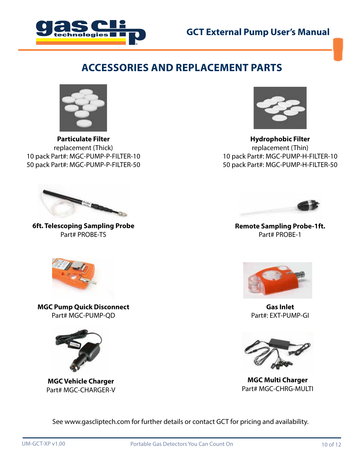



#### **ACCESSORIES AND REPLACEMENT PARTS**



**Particulate Filter** replacement (Thick) 10 pack Part#: MGC-PUMP-P-FILTER-10 50 pack Part#: MGC-PUMP-P-FILTER-50



**Hydrophobic Filter** replacement (Thin) 10 pack Part#: MGC-PUMP-H-FILTER-10 50 pack Part#: MGC-PUMP-H-FILTER-50



**6ft. Telescoping Sampling Probe** Part# PROBE-TS



**Remote Sampling Probe-1ft.** Part# PROBE-1



**MGC Pump Quick Disconnect** Part# MGC-PUMP-QD



**MGC Vehicle Charger** Part# MGC-CHARGER-V



**Gas Inlet** Part#: EXT-PUMP-GI



**MGC Multi Charger** Part# MGC-CHRG-MULTI

See www.gascliptech.com for further details or contact GCT for pricing and availability.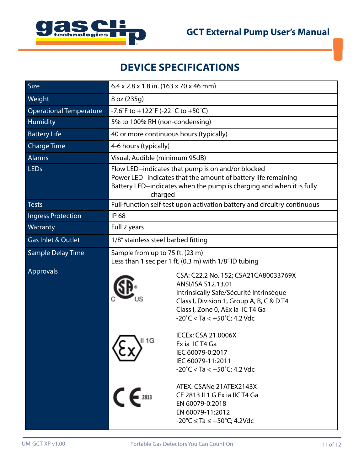

# **DEVICE SPECIFICATIONS**

| Size                           | $6.4 \times 2.8 \times 1.8$ in. (163 x 70 x 46 mm)                                                                                                                                                       |                                                                                                                                                                                                                                            |  |
|--------------------------------|----------------------------------------------------------------------------------------------------------------------------------------------------------------------------------------------------------|--------------------------------------------------------------------------------------------------------------------------------------------------------------------------------------------------------------------------------------------|--|
| Weight                         | 8 oz (235g)                                                                                                                                                                                              |                                                                                                                                                                                                                                            |  |
| <b>Operational Temperature</b> | -7.6°F to +122°F (-22 °C to +50°C)                                                                                                                                                                       |                                                                                                                                                                                                                                            |  |
| Humidity                       | 5% to 100% RH (non-condensing)                                                                                                                                                                           |                                                                                                                                                                                                                                            |  |
| <b>Battery Life</b>            | 40 or more continuous hours (typically)                                                                                                                                                                  |                                                                                                                                                                                                                                            |  |
| <b>Charge Time</b>             | 4-6 hours (typically)                                                                                                                                                                                    |                                                                                                                                                                                                                                            |  |
| <b>Alarms</b>                  | Visual, Audible (minimum 95dB)                                                                                                                                                                           |                                                                                                                                                                                                                                            |  |
| <b>LEDs</b>                    | Flow LED--indicates that pump is on and/or blocked<br>Power LED--indicates that the amount of battery life remaining<br>Battery LED--indicates when the pump is charging and when it is fully<br>charged |                                                                                                                                                                                                                                            |  |
| <b>Tests</b>                   | Full-function self-test upon activation battery and circuitry continuous                                                                                                                                 |                                                                                                                                                                                                                                            |  |
| <b>Ingress Protection</b>      | <b>IP 68</b>                                                                                                                                                                                             |                                                                                                                                                                                                                                            |  |
| Warranty                       | Full 2 years                                                                                                                                                                                             |                                                                                                                                                                                                                                            |  |
| <b>Gas Inlet &amp; Outlet</b>  | 1/8" stainless steel barbed fitting                                                                                                                                                                      |                                                                                                                                                                                                                                            |  |
| <b>Sample Delay Time</b>       | Sample from up to 75 ft. (23 m)<br>Less than 1 sec per 1 ft. (0.3 m) with 1/8" ID tubing                                                                                                                 |                                                                                                                                                                                                                                            |  |
| Approvals                      |                                                                                                                                                                                                          | CSA: C22.2 No. 152; CSA21CA80033769X<br>ANSI/ISA S12.13.01<br>Intrinsically Safe/Sécurité Intrinsèque<br>Class I, Division 1, Group A, B, C & D T4<br>Class I, Zone 0, AEx ia IIC T4 Ga<br>$-20^{\circ}$ C < Ta < $+50^{\circ}$ C; 4.2 Vdc |  |
|                                | II 1G                                                                                                                                                                                                    | <b>IECEx: CSA 21.0006X</b><br>Ex ia IIC T4 Ga<br>IEC 60079-0:2017<br>IEC 60079-11:2011<br>$-20^{\circ}$ C < Ta < $+50^{\circ}$ C; 4.2 Vdc                                                                                                  |  |
|                                | $\epsilon$                                                                                                                                                                                               | ATEX: CSANe 21ATEX2143X<br>CE 2813 II 1 G Ex ia IIC T4 Ga<br>EN 60079-0:2018<br>EN 60079-11:2012<br>$-20^{\circ}C \le Ta \le +50^{\circ}C$ ; 4.2Vdc                                                                                        |  |